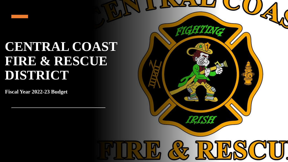## **CENTRAL COAST FIRE & RESCUE DISTRICT**

**Fiscal Year 2022-23 Budget** 

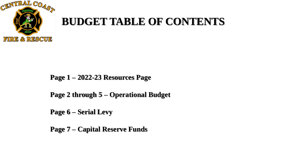

## **BUDGET TABLE OF CONTENTS**

## **Page 1 – 2022-23 Resources Page**

**Page 2 through 5 – Operational Budget**

**Page 6 – Serial Levy**

**Page 7 – Capital Reserve Funds**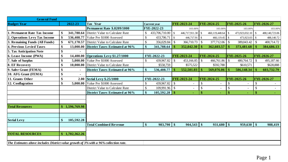| <b>General Fund</b>                                                                  |                  |                                             |                   |                     |               |                |                   |                          |               |                |                   |                |
|--------------------------------------------------------------------------------------|------------------|---------------------------------------------|-------------------|---------------------|---------------|----------------|-------------------|--------------------------|---------------|----------------|-------------------|----------------|
| <b>Budget Year</b>                                                                   | 2022-23          | Tax Year                                    |                   | <b>Current year</b> |               | FYE-2023-24    |                   | FYE-2024-25              |               | FYE-2025-26    |                   | FYE-2026-27    |
|                                                                                      |                  | <b>Permanent Rate \$.8209/1000</b>          |                   | FYE-2022-23         |               | 103.00%        |                   | 103.00%                  |               | 103.00%        |                   | 103.00%        |
| 1. Permanent Rate Tax Income                                                         | \$               | 341,788.64 District Value to Calculate Rate |                   | $433,706,710.00$ \$ |               | 446,717,911.30 | $\mathbb{S}$      | 460,119,448.64           | $\mathcal{S}$ | 473,923,032.10 |                   | 488,140,723.06 |
| 2. Operations Levy Tax Income                                                        | 536,408.77       | Value Per \$1000 Assessed                   | $\mathcal{S}$     | $433,706.71$ \$     |               | 446,717.91 \$  |                   | $460,119.45$ \$          |               | 473,923.03     | $\mathsf{S}$      | 488,140.72     |
| 3. Remaining Funds (All Funds)                                                       |                  | 671,170.57 District Value to Calculate Rate | $\mathcal{S}$     | 356,029.84          | <sup>\$</sup> | 366,710.73     | \$                |                          |               | 389,043.42     |                   | 400,714.72     |
| <b>4. Previous Levied Taxes</b>                                                      |                  | 13,000.00 District Taxes Estimated at 96%   | \$                | 341,788.64          |               | 352,042.30     |                   | 362,603.57               |               | 373,481.68     |                   | 384,686.13     |
| <b>5. Tax Anticipation Note</b>                                                      |                  |                                             |                   |                     |               |                |                   |                          |               |                |                   |                |
| 6. Lease Income (PWA)                                                                | \$               | 14,400.00 Operations Levy \$1.27/1000       |                   | FYE-2022-23         |               | FYE-2023-24    |                   | FYE-2024-25              |               | FYE-2025-26    |                   | FYE-2026-27    |
| 7. Sale of Surplus                                                                   |                  | 5,000.00 Value Per \$1000 Assessed          |                   | 439,967.82          | $\mathcal{S}$ | 453,166.85     | $\mathcal{S}$     | 466,761.86               | $\mathcal{S}$ | 480,764.72     | $\mathbb{S}$      | 495,187.66     |
| 8. EF Recovery                                                                       | \$<br>10,000.00  | District Value to Calculate Rate            |                   | \$558,759           |               | \$575,522      |                   | \$592,788                |               | \$610,571      |                   | \$628,888      |
| 9. Safer Grant (FEMA)                                                                | $\sim$           | <b>District Taxes Estimated at 96%</b>      | $\boldsymbol{\$}$ | 536,408.77          |               | 552,501.03     |                   | 569,076.06               |               | 586,148.34     |                   | 603,732.79     |
| 10. AFG Grant (FEMA)                                                                 |                  |                                             |                   |                     |               |                |                   |                          |               |                |                   |                |
| 11. Grants Other                                                                     | \$<br>2.00       | <b>Serial Levy \$.25/1000</b>               |                   | FYE-2022-23         |               | FYE-2023-24    |                   | FYE-2024-25              |               | FYE-2025-26    |                   | FYE-2026-27    |
| 12. Conflagration                                                                    | \$<br>5,000.00   | Value Per \$1000 Assessed                   | \$                | 439,967.82          | $\mathcal{S}$ |                | \$                | $\overline{\phantom{a}}$ | $\mathbb{S}$  |                | $\mathcal{S}$     |                |
|                                                                                      |                  | District Value to Calculate Rate            | \$                | 109,991.96 \$       |               |                | \$                |                          | $\mathbb{S}$  |                | \$                |                |
|                                                                                      |                  | <b>District Taxes Estimated at 96%</b>      | $\$\$             | 105,592.28          | $\mathbf{\$}$ |                | $\boldsymbol{\$}$ | ٠                        | $\mathbf{\$}$ |                | $\boldsymbol{\$}$ |                |
|                                                                                      |                  |                                             |                   |                     |               |                |                   |                          |               |                |                   |                |
|                                                                                      |                  |                                             |                   |                     |               |                |                   |                          |               |                |                   |                |
| <b>Total Resources</b>                                                               | 1,596,769.98     |                                             |                   |                     |               |                |                   |                          |               |                |                   |                |
|                                                                                      |                  |                                             |                   |                     |               |                |                   |                          |               |                |                   |                |
|                                                                                      |                  |                                             |                   |                     |               |                |                   |                          |               |                |                   |                |
| <b>Serial Levy</b>                                                                   | \$<br>105,592.28 |                                             |                   |                     |               |                |                   |                          |               |                |                   |                |
|                                                                                      |                  | <b>Total Combined Revenue</b>               | $\frac{1}{2}$     | $983,790$ \$        |               |                |                   |                          |               |                |                   | 988,419        |
|                                                                                      |                  |                                             |                   |                     |               |                |                   |                          |               |                |                   |                |
| <b>TOTAL RESOURCES</b>                                                               | \$1,702,362.26   |                                             |                   |                     |               |                |                   |                          |               |                |                   |                |
|                                                                                      |                  |                                             |                   |                     |               |                |                   |                          |               |                |                   |                |
| The Estimates above includes District value growth of 3% with a 96% collection rate. |                  |                                             |                   |                     |               |                |                   |                          |               |                |                   |                |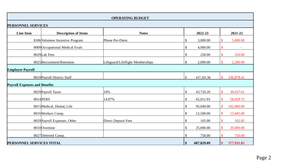|                                      | <b>OPERATING BUDGET</b>          |                                  |                           |            |               |            |  |  |  |  |
|--------------------------------------|----------------------------------|----------------------------------|---------------------------|------------|---------------|------------|--|--|--|--|
|                                      | PERSONNEL SERVICES               |                                  |                           |            |               |            |  |  |  |  |
| <b>Line Item</b>                     | <b>Description of Items</b>      | <b>Notes</b>                     |                           | 2022-23    |               | 2021-22    |  |  |  |  |
|                                      | 8186 Volunteer Incentive Program | Phone Per-Diem                   | $\boldsymbol{\mathsf{S}}$ | 3,000.00   | \$            | 5,000.00   |  |  |  |  |
|                                      | 8009 Occupational Medical Evals  |                                  | $\$\,$                    | 4,000.00   | \$            |            |  |  |  |  |
|                                      | 8029 Lab Fees                    |                                  | $\boldsymbol{\mathsf{S}}$ | 250.00     | \$            | 250.00     |  |  |  |  |
|                                      | 8025 Recruitment/Retention       | Lifeguard/Lifeflight Memberships | $\boldsymbol{\mathsf{S}}$ | 2,000.00   | \$            | 2,200.00   |  |  |  |  |
| <b>Employee Payroll</b>              |                                  |                                  |                           |            |               |            |  |  |  |  |
|                                      | 8010 Payroll District Staff      |                                  | $\mathbb{S}$              | 437,201.96 | $\mathbf{\$}$ | 336,878.41 |  |  |  |  |
| <b>Payroll Expenses and Benefits</b> |                                  |                                  |                           |            |               |            |  |  |  |  |
|                                      | 8029 Payroll Taxes               | 10%                              | $\boldsymbol{\mathsf{S}}$ | 43,720.20  | \$            | 39,037.01  |  |  |  |  |
|                                      | 8014 PERS                        | 14.87%                           | $\boldsymbol{\mathsf{S}}$ | 65,011.93  | \$            | 58,029.75  |  |  |  |  |
|                                      | 8015 Medical, Dental, Life       |                                  | $\boldsymbol{\mathsf{S}}$ | 95,040.00  | \$            | 102,000.00 |  |  |  |  |
|                                      | 8016 Workers Comp.               |                                  | $\sqrt$                   | 12,500.00  | $\mathbf{\$}$ | 13,683.00  |  |  |  |  |
|                                      | 8029 Payroll Expenses, Other     | <b>Direct Deposit Fees</b>       | $\$\,$                    | 105.00     | \$            | 102.85     |  |  |  |  |
|                                      | 8010 Overtime                    |                                  | $\boldsymbol{\mathsf{S}}$ | 25,000.00  |               | 20,000.00  |  |  |  |  |
|                                      | 8027 Deferred Comp.              |                                  | \$                        | 750.00     |               | 750.00     |  |  |  |  |
| PERSONNEL SERVICES TOTAL             |                                  |                                  | \$                        | 687,829.09 | \$            | 577,931.02 |  |  |  |  |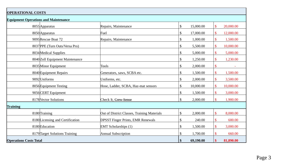| <b>OPERATIONAL COSTS</b>                    |  |                                             |  |    |           |                           |                          |
|---------------------------------------------|--|---------------------------------------------|--|----|-----------|---------------------------|--------------------------|
| <b>Equipment Operations and Maintenance</b> |  |                                             |  |    |           |                           |                          |
| 8055 Apparatus                              |  | Repairs, Maintenance                        |  | \$ | 15,000.00 | $\mathbf{\$}$             | 20,000.00                |
| 8050 Apparatus                              |  | Fuel                                        |  | \$ | 17,000.00 | $\mathbf{\$}$             | 12,000.00                |
| 9095 Rescue Boat 72                         |  | Repairs, Maintenance                        |  | \$ | 1,000.00  | $\mathbf{\$}$             | 1,500.00                 |
| 8037 PPE (Turn Outs/Versa Pro)              |  |                                             |  | \$ | 5,500.00  | $\boldsymbol{\mathsf{S}}$ | 10,000.00                |
| 8034 Medical Supplies                       |  |                                             |  | \$ | 5,000.00  | \$                        | 5,000.00                 |
| 8040 Zoll Equipment Maintenance             |  |                                             |  | \$ | 1,250.00  | \$                        | 1,230.00                 |
| 8035 Minor Equipment                        |  | <b>Tools</b>                                |  | \$ | 2,000.00  | $\boldsymbol{\mathsf{S}}$ | $\overline{\phantom{a}}$ |
| 8040 Equipment Repairs                      |  | Generators, saws, SCBA etc.                 |  | \$ | 1,500.00  | \$                        | 1,500.00                 |
| 9092 Uniforms                               |  | Uniforms, etc.                              |  | \$ | 2,000.00  | $\boldsymbol{\mathsf{S}}$ | 3,500.00                 |
| 8056 Equipment Testing                      |  | Hose, Ladder, SCBA, Haz-mat sensors         |  | \$ | 10,000.00 | $\mathbf{\$}$             | 10,000.00                |
| 9056 CERT Equipment                         |  |                                             |  | \$ | 1,500.00  | $\mathbf{\$}$             | 3,000.00                 |
| 8178 Vector Solutions                       |  | Check It, Crew Sense                        |  | \$ | 2,000.00  | $\mathbf{\hat{S}}$        | 1,900.00                 |
| <b>Training</b>                             |  |                                             |  |    |           |                           |                          |
| 8180 Training                               |  | Out of District Classes, Training Materials |  | \$ | 2,000.00  | \$                        | 8,000.00                 |
| 8180 Licensing and Certification            |  | <b>DPSST Finger Prints, EMR Renewals</b>    |  | \$ | 240.00    | \$                        | 600.00                   |
| 8180 Education                              |  | <b>EMT</b> Scholarships (1)                 |  | \$ | 1,500.00  | $\mathbf{\$}$             | 3,000.00                 |
| 8179 Target Solutions Training              |  | <b>Annual Subscription</b>                  |  | \$ | 1,700.00  |                           | 660.00                   |
| <b>Operations Costs Total</b>               |  |                                             |  | \$ | 69,190.00 | $\boldsymbol{\$}$         | 81,890.00                |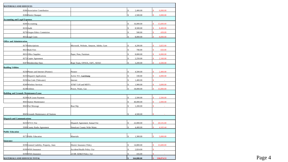|                                  | <b>MATERIALS AND SERVICES</b>                 |                                        |              |            |                 |
|----------------------------------|-----------------------------------------------|----------------------------------------|--------------|------------|-----------------|
|                                  | 8186 Association Contribution                 |                                        |              | 2,400.00   | 6,000.00        |
|                                  | 8186 District Banquet                         |                                        |              | 2,500.00   | 3,000.00        |
|                                  | <b>Accounting and Legal Expenses</b>          |                                        |              |            |                 |
|                                  | 8200 Accounting                               |                                        |              | 16,000.00  | 15,600.00       |
|                                  | 8210 Audit                                    |                                        |              | 8,500.00   | 8,400.00        |
|                                  | 8270 Oregon Ethics Commision                  |                                        |              | 500.00     | 439.09          |
|                                  | 8032 Legal Costs                              |                                        |              | 8,000.00   | 8,000.00        |
| <b>Office and Administration</b> |                                               |                                        |              |            |                 |
|                                  | 8179 Subscriptions                            | Microsoft, Website, Amazon, Adobe, Gym |              | 4,200.00   | 3,825.00        |
|                                  | 8023 Bank Fees                                |                                        |              | 700.00     | 650.00          |
|                                  | 8031 Office Supplies                          | Paper, Pens, Furniture                 |              | 8,000.00   | 6,000.00        |
|                                  | 8272 Copier Agreement                         |                                        |              | 2,250.00   | 2,160.00        |
|                                  | 8187 Membership Dues                          | Rope Team, OFSOA, IAFC, SDAO           |              | 3,200.00   | 4,500.00        |
| <b>Buidling Utilities</b>        |                                               |                                        |              |            |                 |
|                                  | 8236 Phones and Internet (Pioneer)            | Pioneer                                |              | 4,500.00   | 2,400.00        |
|                                  | 8235 Dispatch Applications                    | Active 911, Cad Dump                   |              | 330.00     | 4,000.00        |
|                                  | 8236 Star Link (Tidewater)                    | Internet                               |              | 1,400.00   |                 |
|                                  | 8240 Wireless Services                        | AT&T Cell and MDT's                    |              | 1,900.00   | 3,600.00        |
|                                  | 8238 Utilities                                | Power, Water, Gas                      | \$.          | 18,000.00  | 15,000.00       |
|                                  | <b>Building and Grounds Maintenance/Lease</b> |                                        |              |            |                 |
|                                  | 8239 SLR Lease Payment                        |                                        |              | 2,500.00   | 2,500.00        |
|                                  | 8045 Station Maintenance                      |                                        |              | 40,000.00  | 2,000.00        |
|                                  | 8045 Port Moorage                             | <b>Boat Slip</b>                       |              | 1,200.00   |                 |
|                                  |                                               |                                        |              |            |                 |
|                                  | 8045 Grounds Maintenance all Stations         |                                        |              | 4,500.00   |                 |
|                                  | <b>Dispatch and Communications</b>            |                                        |              |            |                 |
|                                  | 8235 WVCC Fee                                 | Dispatch Agreement Annual Fee          |              | 22,000.00  | 20,535.00       |
|                                  | 9300 County Radio Agreement                   | Simulcast County Wide Maint.           |              | 4,400.00   | 4,165.44        |
| <b>Public Education</b>          |                                               |                                        |              |            |                 |
|                                  | 8172 Public Education                         | Materials                              | $\mathbb{S}$ | 1,300.00   | 5.000.00<br>\$. |
| <b>Insurance</b>                 |                                               |                                        |              |            |                 |
|                                  | 8190 General Liability, Property, Auto        | District Insurance Policy              | \$           | 14,800.00  | 15,600.00       |
|                                  | 8190 WHA Insurance                            | Accident/Health Policy 3/yr            |              | 2,824.00   |                 |
|                                  | 8190 WHA Insurance                            | 24 HR AD&D Policy 3/yr                 |              | 416.00     |                 |
|                                  | <b>MATERIALS AND SERVICES TOTAL</b>           |                                        |              | 164,880.00 | 130,874.53      |
|                                  |                                               |                                        |              |            |                 |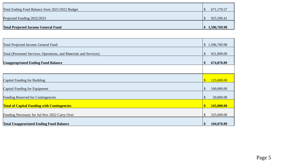| Total Projected Income General Fund             | $\vert 1, 596, 769.98 \vert$ |
|-------------------------------------------------|------------------------------|
|                                                 |                              |
| Projected Funding 2022/2023                     | 925,599.41                   |
| Total Ending Fund Balance from 2021/2022 Budget | 671,170.57                   |

| Total Projected Income General Fund                                |                   | \$1,596,769.98 |
|--------------------------------------------------------------------|-------------------|----------------|
| Total (Personnel Services, Operations, and Materials and Services) |                   | 921,899.09     |
| <b>Unappropriated Ending Fund Balance</b>                          |                   | 674,870.89     |
|                                                                    |                   |                |
| Capital Funding for Building                                       | \$                | 125,000.00     |
| Capital Funding for Equipment                                      | \$                | 100,000.00     |
| <b>Funding Reserved for Contingencies</b>                          | \$                | 20,000.00      |
| <b>Total of Capital Funding with Contingencies</b>                 | $\boldsymbol{\$}$ | 245,000.00     |
| Funding Necessary for Jul-Nov 2022 Carry Over                      |                   | 325,000.00     |
| <b>Total Unapproriated Ending Fund Balance</b>                     |                   | 104,870.89     |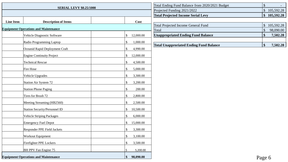| <b>SERIAL LEVY \$0.25/1000</b> |                                             |  |                                       | Total Ending Fund Balance from 2020/2021 Budget     | $\mathcal{S}$     |                         |
|--------------------------------|---------------------------------------------|--|---------------------------------------|-----------------------------------------------------|-------------------|-------------------------|
|                                |                                             |  |                                       | Projected Funding 2021/2022                         |                   | \$105,592.28            |
|                                |                                             |  |                                       | <b>Total Projected Income Serial Levy</b>           |                   | \$105,592.28            |
| <b>Line Item</b>               | <b>Description of Items</b>                 |  | Cost                                  |                                                     |                   |                         |
|                                | <b>Equipment Operations and Maintenance</b> |  |                                       | <b>Total Projected Income General Fund</b><br>Total | $\mathbb S$<br>\$ | 105,592.28<br>98,090.00 |
|                                | Vehicle Diagnostic Software                 |  | \$<br>12,000.00                       | <b>Unappropriated Ending Fund Balance</b>           | \$                | 7,502.28                |
|                                | Radio Programming Laptop                    |  | $\sqrt$<br>1,000.00                   |                                                     |                   |                         |
|                                | Oceanid Rapid Deployment Craft              |  | $\boldsymbol{\mathsf{S}}$<br>4,990.00 | <b>Total Unapproriated Ending Fund Balance</b>      | \$                | 7,502.28                |
|                                | <b>Engine Continuity Project</b>            |  | $\mathcal{S}$<br>12,000.00            |                                                     |                   |                         |
|                                | Technical Rescue                            |  | $\boldsymbol{\mathsf{S}}$<br>4,500.00 |                                                     |                   |                         |
|                                | Fire Hose                                   |  | $\boldsymbol{\mathsf{S}}$<br>5,000.00 |                                                     |                   |                         |
|                                | Vehicle Upgrades                            |  | $\mathcal{S}$<br>3,300.00             |                                                     |                   |                         |
|                                | Station Air System 72                       |  | $\boldsymbol{\mathsf{S}}$<br>3,200.00 |                                                     |                   |                         |
|                                | Station Phone Paging                        |  | $\frac{1}{2}$<br>200.00               |                                                     |                   |                         |
|                                | Tires for Brush 72                          |  | $\frac{1}{2}$<br>2,800.00             |                                                     |                   |                         |
|                                | Meeting Streaming (HB2560)                  |  | $\sqrt{3}$<br>2,500.00                |                                                     |                   |                         |
|                                | Station Security/Personnel ID               |  | $\frac{1}{2}$<br>10,500.00            |                                                     |                   |                         |
|                                | <b>Vehicle Striping Packages</b>            |  | $\boldsymbol{\mathsf{S}}$<br>6,000.00 |                                                     |                   |                         |
|                                | <b>Emergency Fuel Depot</b>                 |  | $\mathcal{S}$<br>15,000.00            |                                                     |                   |                         |
|                                | Responder PPE Field Jackets                 |  | $\boldsymbol{\mathsf{S}}$<br>3,300.00 |                                                     |                   |                         |
|                                | Workout Equipment                           |  | $\boldsymbol{\mathsf{S}}$<br>3,100.00 |                                                     |                   |                         |
|                                | Firefighter PPE Lockers                     |  | $\mathcal{S}$<br>3,500.00             |                                                     |                   |                         |
|                                | BH PPV Fan Engine 75                        |  | \$<br>5,200.00                        |                                                     |                   |                         |
|                                | <b>Equipment Operations and Maintenance</b> |  | 98,090.00<br>$\mathbf{\$}$            |                                                     | Page 6            |                         |

| Total Ending Fund Balance from 2020/2021 Budget |                  |
|-------------------------------------------------|------------------|
| Projected Funding 2021/2022                     | 105,592.28       |
| <b>Total Projected Income Serial Levy</b>       | \$<br>105,592.28 |
|                                                 |                  |
| <b>Total Projected Income General Fund</b>      | 105,592.28       |
| Total                                           | \$<br>98,090.00  |
| <b>Unappropriated Ending Fund Balance</b>       | \$<br>7,502.28   |